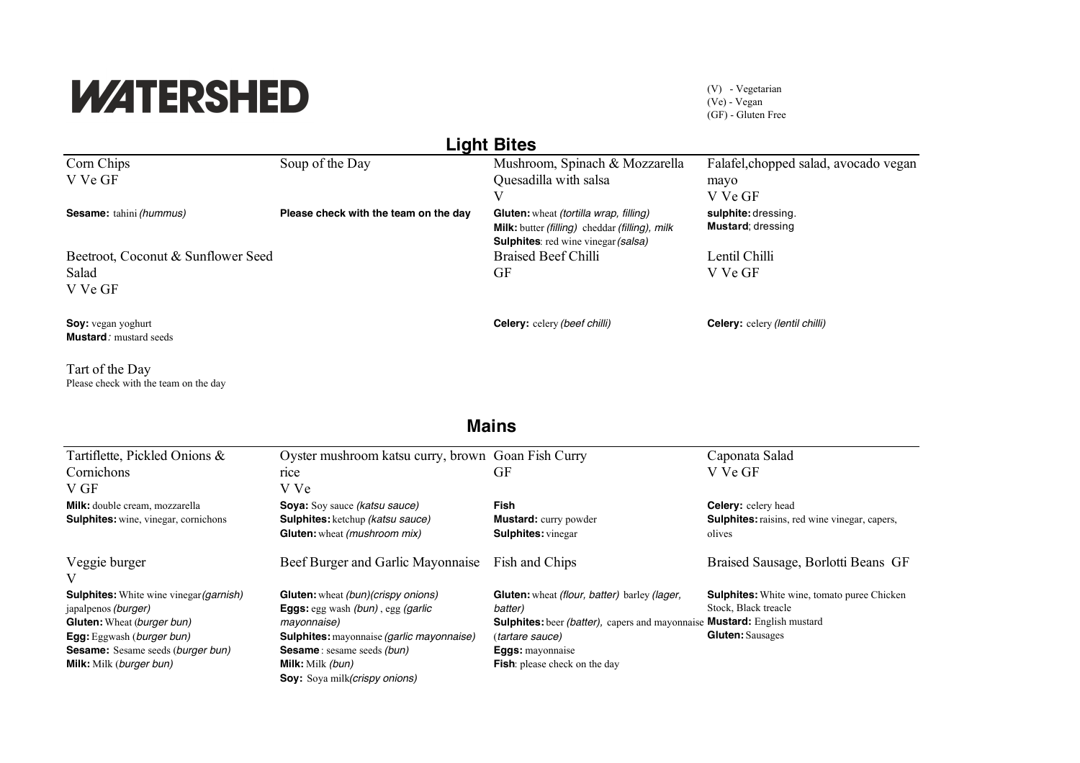## **WATERSHED**

Please check with the team on the day

(V) - Vegetarian (Ve) - Vegan (GF) - Gluten Free

| <b>Light Bites</b>                                          |                                       |                                                                                                                                                      |                                          |  |  |
|-------------------------------------------------------------|---------------------------------------|------------------------------------------------------------------------------------------------------------------------------------------------------|------------------------------------------|--|--|
| Corn Chips                                                  | Soup of the Day                       | Mushroom, Spinach & Mozzarella                                                                                                                       | Falafel, chopped salad, avocado vegan    |  |  |
| V Ve GF                                                     |                                       | Quesadilla with salsa                                                                                                                                | mayo                                     |  |  |
|                                                             |                                       | V                                                                                                                                                    | V Ve GF                                  |  |  |
| <b>Sesame:</b> tahini (hummus)                              | Please check with the team on the day | <b>Gluten:</b> wheat (tortilla wrap, filling)<br><b>Milk:</b> butter (filling) cheddar (filling), milk<br><b>Sulphites:</b> red wine vinegar (salsa) | sulphite: dressing.<br>Mustard; dressing |  |  |
| Beetroot, Coconut & Sunflower Seed                          |                                       | <b>Braised Beef Chilli</b>                                                                                                                           | Lentil Chilli                            |  |  |
| Salad<br>V Ve GF                                            |                                       | GF                                                                                                                                                   | V Ve GF                                  |  |  |
| <b>Soy:</b> vegan yoghurt<br><b>Mustard</b> : mustard seeds |                                       | <b>Celery:</b> celery (beef chilli)                                                                                                                  | <b>Celery:</b> celery (lentil chilli)    |  |  |
| Tart of the Day                                             |                                       |                                                                                                                                                      |                                          |  |  |

**Mains**

| Tartiflette, Pickled Onions &                  | Oyster mushroom katsu curry, brown Goan Fish Curry |                                                                          | Caponata Salad                                       |
|------------------------------------------------|----------------------------------------------------|--------------------------------------------------------------------------|------------------------------------------------------|
| Cornichons                                     | rice                                               | GF                                                                       | V Ve GF                                              |
| V GF                                           | V Ve                                               |                                                                          |                                                      |
| Milk: double cream, mozzarella                 | <b>Soya:</b> Soy sauce <i>(katsu sauce)</i>        | <b>Fish</b>                                                              | <b>Celery:</b> celery head                           |
| <b>Sulphites:</b> wine, vinegar, cornichons    | <b>Sulphites:</b> ketchup <i>(katsu sauce)</i>     | <b>Mustard:</b> curry powder                                             | <b>Sulphites:</b> raisins, red wine vinegar, capers, |
|                                                | <b>Gluten:</b> wheat (mushroom mix)                | <b>Sulphites:</b> vinegar                                                | olives                                               |
| Veggie burger<br>V                             | Beef Burger and Garlic Mayonnaise                  | Fish and Chips                                                           | Braised Sausage, Borlotti Beans GF                   |
| <b>Sulphites:</b> White wine vinegar (garnish) | <b>Gluten:</b> wheat <i>(bun)(crispy onions)</i>   | <b>Gluten:</b> wheat (flour, batter) barley (lager,                      | <b>Sulphites:</b> White wine, tomato puree Chicken   |
| japalpenos (burger)                            | <b>Eggs:</b> egg wash (bun), egg (garlic           | batter)                                                                  | Stock, Black treacle                                 |
| <b>Gluten:</b> Wheat (burger bun)              | mayonnaise)                                        | Sulphites: beer (batter), capers and mayonnaise Mustard: English mustard |                                                      |
| <b>Egg:</b> Eggwash ( <i>burger bun</i> )      | <b>Sulphites:</b> mayonnaise (garlic mayonnaise)   | (tartare sauce)                                                          | <b>Gluten:</b> Sausages                              |
| <b>Sesame:</b> Sesame seeds (burger bun)       | <b>Sesame</b> : sesame seeds (bun)                 | <b>Eggs:</b> mayonnaise                                                  |                                                      |
| <b>Milk:</b> Milk (burger bun)                 | <b>Milk:</b> Milk (bun)                            | <b>Fish:</b> please check on the day                                     |                                                      |
|                                                | <b>Soy:</b> Soya milk( <i>crispy onions</i> )      |                                                                          |                                                      |